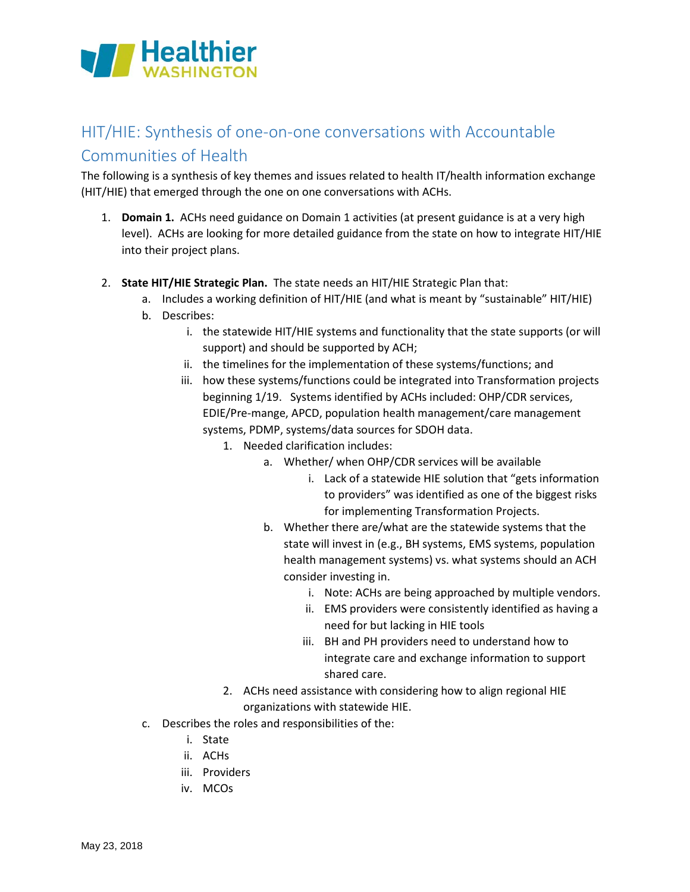

## HIT/HIE: Synthesis of one-on-one conversations with Accountable Communities of Health

The following is a synthesis of key themes and issues related to health IT/health information exchange (HIT/HIE) that emerged through the one on one conversations with ACHs.

- 1. **Domain 1.** ACHs need guidance on Domain 1 activities (at present guidance is at a very high level). ACHs are looking for more detailed guidance from the state on how to integrate HIT/HIE into their project plans.
- 2. **State HIT/HIE Strategic Plan.** The state needs an HIT/HIE Strategic Plan that:
	- a. Includes a working definition of HIT/HIE (and what is meant by "sustainable" HIT/HIE)
	- b. Describes:
		- i. the statewide HIT/HIE systems and functionality that the state supports (or will support) and should be supported by ACH;
		- ii. the timelines for the implementation of these systems/functions; and
		- iii. how these systems/functions could be integrated into Transformation projects beginning 1/19. Systems identified by ACHs included: OHP/CDR services, EDIE/Pre-mange, APCD, population health management/care management systems, PDMP, systems/data sources for SDOH data.
			- 1. Needed clarification includes:
				- a. Whether/ when OHP/CDR services will be available
					- i. Lack of a statewide HIE solution that "gets information to providers" was identified as one of the biggest risks for implementing Transformation Projects.
				- b. Whether there are/what are the statewide systems that the state will invest in (e.g., BH systems, EMS systems, population health management systems) vs. what systems should an ACH consider investing in.
					- i. Note: ACHs are being approached by multiple vendors.
					- ii. EMS providers were consistently identified as having a need for but lacking in HIE tools
					- iii. BH and PH providers need to understand how to integrate care and exchange information to support shared care.
			- 2. ACHs need assistance with considering how to align regional HIE organizations with statewide HIE.
	- c. Describes the roles and responsibilities of the:
		- i. State
		- ii. ACHs
		- iii. Providers
		- iv. MCOs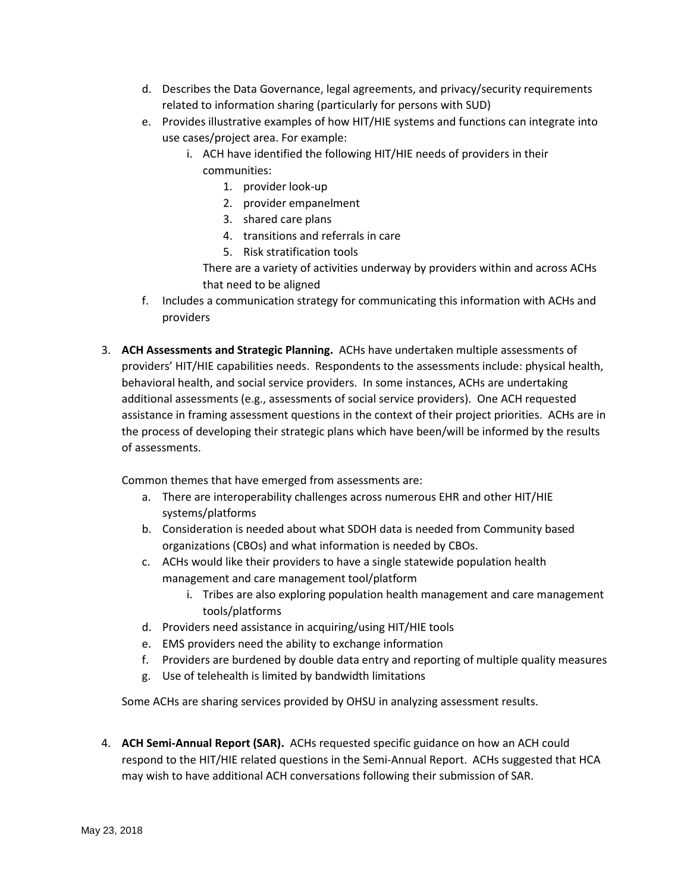- d. Describes the Data Governance, legal agreements, and privacy/security requirements related to information sharing (particularly for persons with SUD)
- e. Provides illustrative examples of how HIT/HIE systems and functions can integrate into use cases/project area. For example:
	- i. ACH have identified the following HIT/HIE needs of providers in their communities:
		- 1. provider look-up
		- 2. provider empanelment
		- 3. shared care plans
		- 4. transitions and referrals in care
		- 5. Risk stratification tools

There are a variety of activities underway by providers within and across ACHs that need to be aligned

- f. Includes a communication strategy for communicating this information with ACHs and providers
- 3. **ACH Assessments and Strategic Planning.** ACHs have undertaken multiple assessments of providers' HIT/HIE capabilities needs. Respondents to the assessments include: physical health, behavioral health, and social service providers. In some instances, ACHs are undertaking additional assessments (e.g., assessments of social service providers). One ACH requested assistance in framing assessment questions in the context of their project priorities. ACHs are in the process of developing their strategic plans which have been/will be informed by the results of assessments.

Common themes that have emerged from assessments are:

- a. There are interoperability challenges across numerous EHR and other HIT/HIE systems/platforms
- b. Consideration is needed about what SDOH data is needed from Community based organizations (CBOs) and what information is needed by CBOs.
- c. ACHs would like their providers to have a single statewide population health management and care management tool/platform
	- i. Tribes are also exploring population health management and care management tools/platforms
- d. Providers need assistance in acquiring/using HIT/HIE tools
- e. EMS providers need the ability to exchange information
- f. Providers are burdened by double data entry and reporting of multiple quality measures
- g. Use of telehealth is limited by bandwidth limitations

Some ACHs are sharing services provided by OHSU in analyzing assessment results.

4. **ACH Semi-Annual Report (SAR).** ACHs requested specific guidance on how an ACH could respond to the HIT/HIE related questions in the Semi-Annual Report. ACHs suggested that HCA may wish to have additional ACH conversations following their submission of SAR.